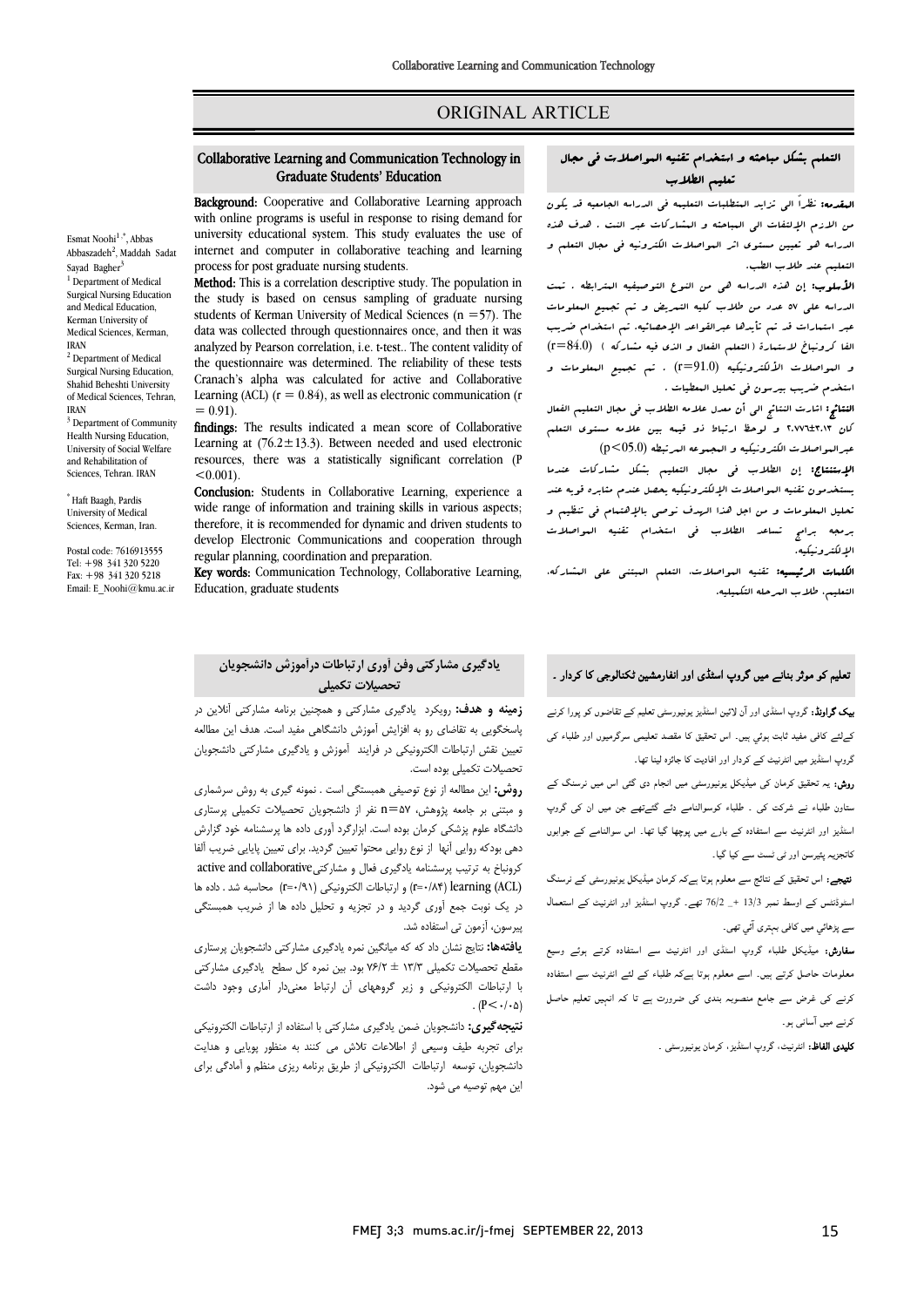# ORIGINAL ARTICLE

### Graduate Students' Education Collaborative Learning and Communication Technology in

Ī 

Background: Cooperative and Collaborative Learning approach **EXAMPLE FOR THE PROPERTIES** COOPERATE AND COMMODATIVE LEADING APPROACH WITH ONLY THE PROPERTY OF THE PROPERTY OF THE PROPERTY OF THE PROPERTY OF THE PROPERTY OF THE PROPERTY OF THE PROPERTY OF THE PROPERTY OF THE PROPERTY university educational system. This study evaluates the use of internet and computer in collaborative teaching and learning process for post graduate nursing students.

**Method:** This is a correlation descriptive study. The population in the study is based on census sampling of graduate nursing data was collected through questionnaires once, and then it was analyzed by Pearson correlation, i.e. t-test.. The content validity of the questionnaire was determined. The reliability of these tests<br>Creasek's alabe was selected for active and Callabastive Learning (ACL)  $(r = 0.84)$ , as well as electronic communication (r students of Kerman University of Medical Sciences ( $n = 57$ ). The Cranach's alpha was calculated for active and Collaborative  $= 0.91$ 

= 0.91).<br>**findings:** The results indicated a mean score of Collaborative **Learning at**  $(76.2 \pm 13.3)$ . Between needed and used electronic resources, there was a statistically significant correlation (P  $< 0.001$ .

 Conclusion: Students in Collaborative Learning, experience a wide range of information and training skills in various aspects; therefore, it is recommended for dynamic and driven students to regular planning, coordination and preparation. develop Electronic Communications and cooperation through

Key words: Communication Technology, Collaborative Learning, Education, graduate students

#### Esmat Noohi<sup>1,\*</sup>, Abbas Abbaszadeh<sup>2</sup>, Maddah Sadat Sayad Bagher<sup>3</sup> <sup>1</sup> Department of Medical Surgical Nursing Education and Medical Education, Kerman University of

IRAN <sup>2</sup> Department of Medical Surgical Nursing Education, Shahid Beheshti University of Medical Sciences, Tehran, IRAN

Medical Sciences, Kerman,

<sup>3</sup> Department of Community Health Nursing Education, University of Social Welfare and Rehabilitation of Sciences, Tehran. IRAN

\* Haft Baagh, Pardis University of Medical Sciences, Kerman, Iran.

Postal code: 7616913555 Tel: +98 341 320 5220 Fax: +98 341 320 5218 Email: E\_Noohi@kmu.ac.ir

## **یادگیري مشارکتی وفن آوري ارتباطات درآموزش دانشجویان تحصیلات تکمیلی**

 **زمینه و هدف:** رویکرد یادگیري مشارکتی و همچنین برنامه مشارکتی آنلاین در پاسخگویی به تقاضاي رو به افزایش آموزش دانشگاهی مفید است. هدف این مطالعه تعیین نقش ارتباطات الکترونیکی در فرایند آموزش و یادگیري مشارکتی دانشجویان تحصیلات تکمیلی بوده است.

 **روش:** این مطالعه از نوع توصیفی همبستگی است . نمونه گیري به روش سرشماري دانشگاه علوم پزشکی کرمان بوده است. ابزارگرد آوري داده ها پرسشنامه خود گزارش دهی بودکه روایی آنها از نوع روایی محتوا تعیین گردید. براي تعیین پایایی ضریب آلفا کرونباخ به ترتیب پرسشنامه یادگیری فعال و مشارکتیactive and collaborative (ACL (learning) 0/84=r (و ارتباطات الکترونیکی (0/91=r (محاسبه شد . داده ها در یک نوبت جمع آوري گردید و در تجزیه و تحلیل داده ها از ضریب همبستگی پیرسون، آزمون تی استفاده شد.<br>من و مبتنی بر جامعه پژوهش، 57=n نفر از دانشجویان تحصیلات تکمیلی پرستاري

مقصد تمایج تکس داد که که هیامگیل تکمره یادگیری مشارکتی مستقبل بود.<br>مقطع تحصیلات تکمیلی ۱۳/۳ ± ۷۶/۲ بود. بین نمره کل سطح ایادگیری مشارکتی با ارتباطات الکترونیکی و زیر گروههاي آن ارتباط معنیدار آماري وجود داشت **یافتهها:** نتایج نشان داد که که میانگین نمره یادگیري مشارکتی دانشجویان پرستاري .  $(P<\cdot/\cdot \Delta)$ 

 **نتیجهگیري:** دانشجویان ضمن یادگیري مشارکتی با استفاده از ارتباطات الکترونیکی براي تجربه طیف وسیعی از اطلاعات تلاش می کنند به منظور پویایی و هدایت دانشجویان، توسعه ارتباطات الکترونیکی از طریق برنامه ریزي منظم و آمادگی براي این مهم توصیه می شود.

# التعلم بشکل مباحثه و استخدام تقنیه المواصلات فی مجال تعلیم الطلاب

Ī ֦

ا**لمقدمه:** نظراً الی تزاید المتطلبات التعلیمه فی الدراسه الجامعیه قد یکون<br>. من الدرم الإنسان الى البناطية و البسار باب عبر اللت : عدت عدد<br>الدراسه هو تعيين مستوى اثر البواصلات الکترونيه فى مجال التعلم و التعلیم عند طلاب الطب. من الازم الإلتفات الی المباحثه و المشارکات عبر النت . هدف هذه

 الأسلوب: إن هذه الدراسه هی من النوع التوصیفیه المترابطه . تمت الدراسه علی 57 عدد من طلاب کلیه التمریض و تم تجمیع المعلومات عبر استمارات قد تم تأیدها عبرالقواعد الإحصائیه. تم استخدام ضریب الفا کرونباخ لاستمارة (التعلم الفعال و الذي فیه مشارکه ) (84.0=r( و المواصلات الألکترونیکیه (91.0=r (. تم تجمیع المعلومات و استخدم ضریب بیرسون فی تحلیل المعطیات .

 النتائج: اشارت النتائج الی أن معدل علامه الطلاب فی مجال التعلیم الفعال کان 2.776±3.13 و لوحظ ارتباط ذو قیمه بین علامه مستوي التعلم عبرالمواصلات الکترونیکیه و المجموعه المرتبطه (05.0>p(

الپرسود سرور سندورید و سندسوم سنرجت (۲۰۰۰ می)<br>**الإستنتاج:** إن الطلاب ف<sub>ی</sub> مجال التعلیم بشکل مشارکات عندما یستخدمون تقنیه المواصلات الإلکترونیکیه یحصل عندم مثابره قویه عند تحلیل المعلومات و من اجل هذا الهدف نوصی بالإهتمام فی تنظیم و برمجه برامج تساعد الطلاب فی استخدام تقنیه المواصلات الإلکترونیکیه.

 الکلمات الرئیسیه: تقنیه المواصلات، التعلم المبتنی علی المشارکه، التعلیم، طلاب المرحله التکمیلیه.

# نعلیم کو موثر بنانے میں گروپ اسٹڈی اور انفارمشین ٹکنالوجی کا کردار ۔<br>۔

**یک گراونڈ:** گروپ اسٹڈی اور آن لائین اسٹڈیز یونیورسٹی تعلیم کے تقاضوں کو پورا کرنے ۔<br>کےلئے کافی مفید ثابت ہوئی ہیں۔ اس تحقیق کا مقصد تعلیمی سرگرمیوں اور طلباء کی گروپ اسٹڈیز میں انٹرنیٹ کے کردار اور افادیت کا جائزہ لینا تھا۔

ر**یش:** یہ تحقیق کرمان کی میڈیکل یونیورسٹی میں انجام دی گئی اس میں نرسنگ کے ۔<br>ستاون طلباء نے شرکت کی <sub>۔</sub> طلباء کوسوالنامے دئے گئےتھے جن میں ان کی گروپ ا اور ا ادہ رے ۔ اس ا اں ۔<br><br>کاتجزیہ پئیرسن اور ٹی ٹسٹ سے کیا گیا۔

**تیجے:** اس تحقیق کے نتائج سے معلوم ہوتا ہےکہ کرمان میڈیکل یونیورسٹی کے نرسنگ<br>۔ اسٹوڈنٹس کے اوسط نمبر 13/3 +\_ 76/2 تھے۔ گروپ اسٹڈیز اور انٹرنیٹ کے استعمال<br>۔ سے پڑھائي میں کافی بہتری آئي تھی۔<br>۔

**سفارش:** میڈیکل طلباء گروپ اسٹڈی اور انٹرنیٹ سے استفادہ کرتے ہوئے وسیع<br>۔ معلومات حاصل کرتے ہیں۔ اسے معلوم ہوتا ہےکہ طلباء کے لئے انٹرنیٹ سے استفادہ کرنے کی غرض سے جامع منصوبہ بندی کی ضرورت ہے تا کہ انہیں تعلیم حاصل کرنے میں آسانی ہو۔

**کلیدی الفاظ:** انٹرنیٹ، گروپ اسٹڈیز، کرمان یونیورسٹی <sub>-</sub>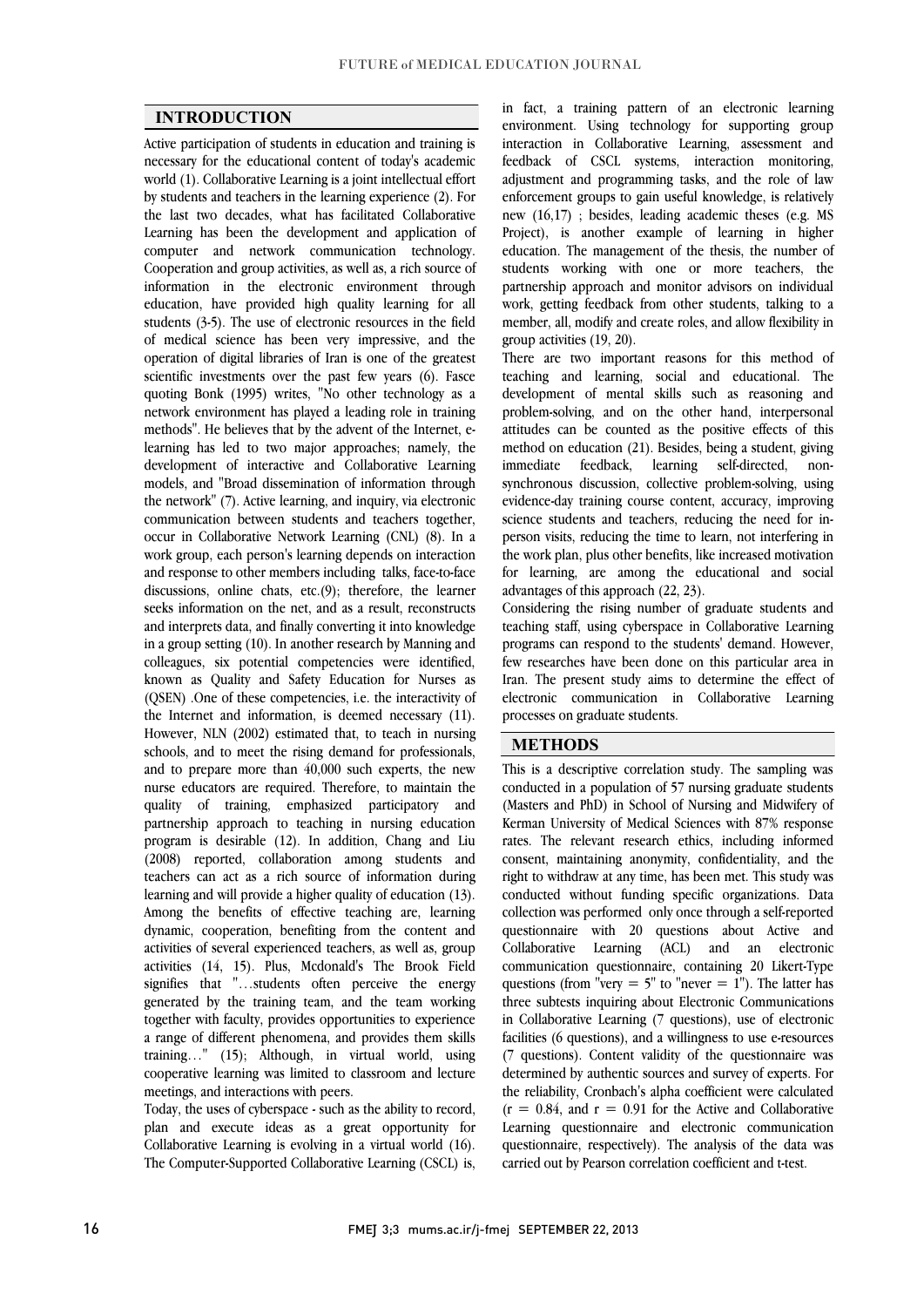$\overline{a}$  $\overline{a}$ 

### **INTRODUCTION**

 Active participation of students in education and training is necessary for the educational content of today's academic by students and teachers in the learning experience (2). For the last two decades, what has facilitated Collaborative Learning has been the development and application of computer and network communication technology. information in the electronic environment through education, have provided high quality learning for all students (3-5). The use of electronic resources in the field of medical science has been very impressive, and the scientific investments over the past few years (6). Fasce quoting Bonk (1995) writes, "No other technology as a network environment has played a leading role in training methods". He believes that by the advent of the Internet, e- development of interactive and Collaborative Learning models, and "Broad dissemination of information through the network" (7). Active learning, and inquiry, via electronic occur in Collaborative Network Learning (CNL) (8). In a work group, each person's learning depends on interaction and response to other members including talks, face-to-face discussions, online chats, etc.(9); therefore, the learner and interprets data, and finally converting it into knowledge in a group setting (10). In another research by Manning and colleagues, six potential competencies were identified, known as Quality and Safety Education for Nurses as the Internet and information, is deemed necessary (11). However, NLN (2002) estimated that, to teach in nursing schools, and to meet the rising demand for professionals, and to prepare more than 40,000 such experts, the new quality of training, emphasized participatory and partnership approach to teaching in nursing education program is desirable (12). In addition, Chang and Liu teachers can act as a rich source of information during learning and will provide a higher quality of education (13). Among the benefits of effective teaching are, learning dynamic, cooperation, benefiting from the content and activities of several experienced teachers, as well as, group<br>activities (14, 15). Plus, Mcdonald's The Brook Field signifies that "…students often perceive the energy generated by the training team, and the team working together with faculty, provides opportunities to experience training…" (15); Although, in virtual world, using cooperative learning was limited to classroom and lecture world (1). Collaborative Learning is a joint intellectual effort Cooperation and group activities, as well as, a rich source of operation of digital libraries of Iran is one of the greatest learning has led to two major approaches; namely, the communication between students and teachers together, seeks information on the net, and as a result, reconstructs (QSEN) .One of these competencies, i.e. the interactivity of nurse educators are required. Therefore, to maintain the (2008) reported, collaboration among students and activities of several experienced teachers, as well as, group a range of different phenomena, and provides them skills meetings, and interactions with peers.

 Today, the uses of cyberspace - such as the ability to record, Collaborative Learning is evolving in a virtual world (16). The Computer-Supported Collaborative Learning (CSCL) is, plan and execute ideas as a great opportunity for

 environment. Using technology for supporting group interaction in Collaborative Learning, assessment and feedback of CSCL systems, interaction monitoring, enforcement groups to gain useful knowledge, is relatively new (16,17) ; besides, leading academic theses (e.g. MS Project), is another example of learning in higher education. The management of the thesis, the number of partnership approach and monitor advisors on individual work, getting feedback from other students, talking to a member, all, modify and create roles, and allow flexibility in in fact, a training pattern of an electronic learning adjustment and programming tasks, and the role of law students working with one or more teachers, the group activities (19, 20).

 There are two important reasons for this method of teaching and learning, social and educational. The development of mental skills such as reasoning and problem-solving, and on the other hand, interpersonal method on education (21). Besides, being a student, giving non- synchronous discussion, collective problem-solving, using evidence-day training course content, accuracy, improving person visits, reducing the time to learn, not interfering in the work plan, plus other benefits, like increased motivation for learning, are among the educational and social attitudes can be counted as the positive effects of this immediate feedback, learning self-directed, science students and teachers, reducing the need for inadvantages of this approach (22, 23).

advantages of this approach (22, 25).<br>Considering the rising number of graduate students and teaching staff, using cyberspace in Collaborative Learning programs can respond to the students' demand. However, few researches have been done on this particular area in Iran. The present study aims to determine the effect of electronic communication in Collaborative Learning<br>processes.on.graduate.students processes on graduate students.

 $\overline{a}$ 

### **METHODS**

 $\overline{a}$  conducted in a population of 57 nursing graduate students (Masters and PhD) in School of Nursing and Midwifery of Kerman University of Medical Sciences with 87% response rates. The relevant research ethics, including informed right to withdraw at any time, has been met. This study was conducted without funding specific organizations. Data collection was performed only once through a self-reported questionnaire with 20 questions about Active and communication questionnaire, containing 20 Likert-Type questions (from "very = 5" to "never =  $1$ "). The latter has three subtests inquiring about Electronic Communications in Collaborative Learning (7 questions), use of electronic (7 questions). Content validity of the questionnaire was determined by authentic sources and survey of experts. For the reliability, Cronbach's alpha coefficient were calculated  $(r = 0.84, \text{ and } r = 0.91 \text{ for the Active and Collaborative})$  questionnaire, respectively). The analysis of the data was This is a descriptive correlation study. The sampling was consent, maintaining anonymity, confidentiality, and the Collaborative Learning (ACL) and an electronic facilities (6 questions), and a willingness to use e-resources Learning questionnaire and electronic communication carried out by Pearson correlation coefficient and t-test.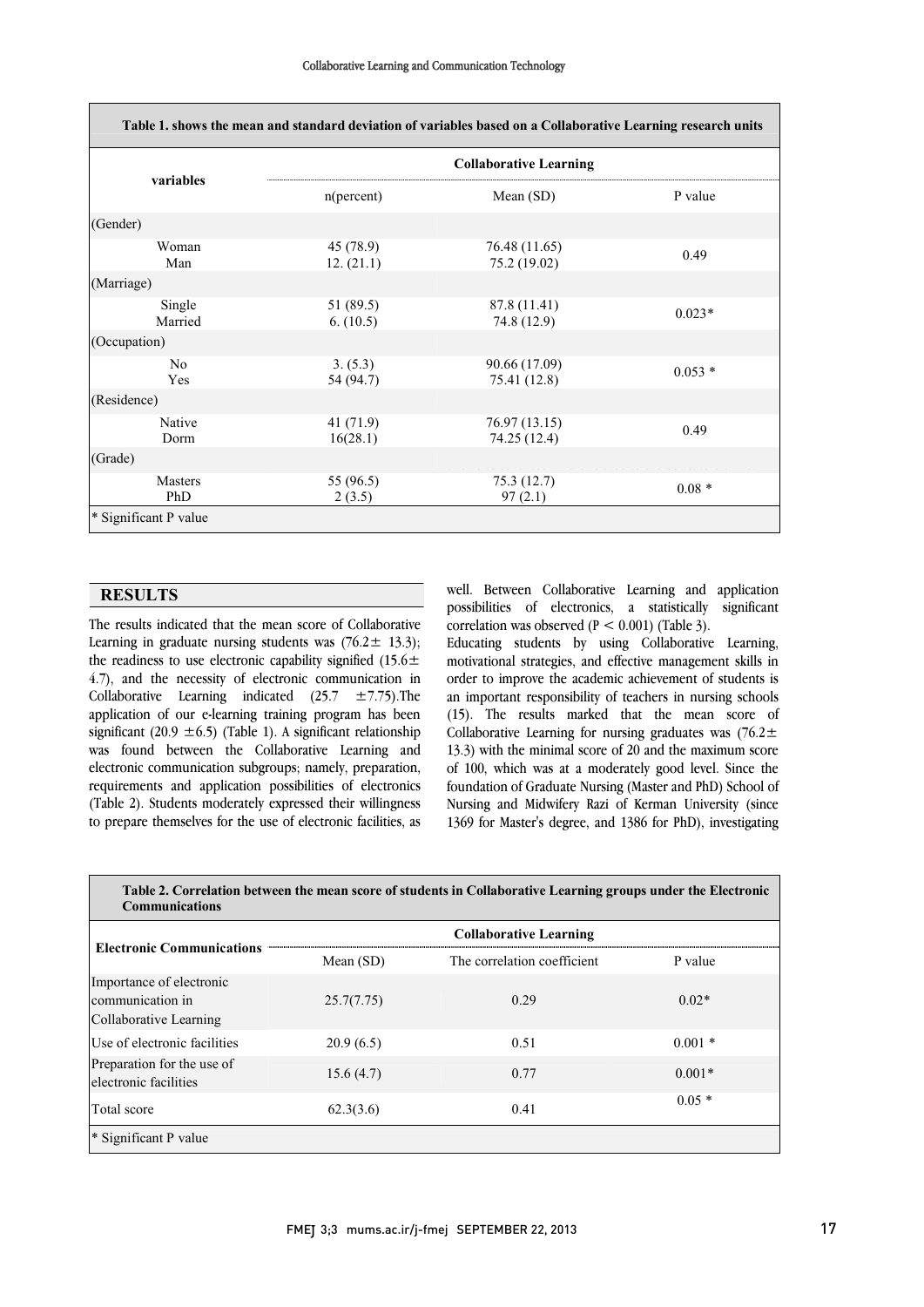L

| variables             | <b>Collaborative Learning</b> |                               |          |  |
|-----------------------|-------------------------------|-------------------------------|----------|--|
|                       | $n(\text{percent})$           | Mean (SD)                     | P value  |  |
| (Gender)              |                               |                               |          |  |
| Woman<br>Man          | 45 (78.9)<br>12. (21.1)       | 76.48 (11.65)<br>75.2 (19.02) | 0.49     |  |
| (Marriage)            |                               |                               |          |  |
| Single<br>Married     | 51 (89.5)<br>6. (10.5)        | 87.8 (11.41)<br>74.8 (12.9)   | $0.023*$ |  |
| (Occupation)          |                               |                               |          |  |
| N <sub>0</sub><br>Yes | 3. (5.3)<br>54 (94.7)         | 90.66 (17.09)<br>75.41 (12.8) | $0.053*$ |  |
| (Residence)           |                               |                               |          |  |
| Native<br>Dorm        | 41(71.9)<br>16(28.1)          | 76.97 (13.15)<br>74.25 (12.4) | 0.49     |  |
| (Grade)               |                               |                               |          |  |
| <b>Masters</b><br>PhD | 55 (96.5)<br>2(3.5)           | 75.3 (12.7)<br>97(2.1)        | $0.08 *$ |  |

### **RESULTS**

 The results indicated that the mean score of Collaborative Learning in graduate nursing students was  $(76.2 \pm 13.3);$ the readiness to use electronic capability signified (15.6 $\pm$ 4.7), and the necessity of electronic communication in  $C_2$ .  $\frac{1}{2}$   $\frac{1}{2}$   $\frac{1}{2}$   $\frac{1}{2}$   $\frac{1}{2}$   $\frac{1}{2}$   $\frac{1}{2}$   $\frac{1}{2}$   $\frac{1}{2}$   $\frac{1}{2}$   $\frac{1}{2}$   $\frac{1}{2}$   $\frac{1}{2}$   $\frac{1}{2}$   $\frac{1}{2}$   $\frac{1}{2}$ application of our e-learning training program has been significant (20.9  $\pm$ 6.5) (Table 1). A significant relationship was found between the Collaborative Learning and requirements and application possibilities of electronics (Table 2). Students moderately expressed their willingness to prepare themselves for the use of electronic facilities, as Collaborative Learning indicated  $(25.7 \pm 7.75)$ . The electronic communication subgroups; namely, preparation,

 well. Between Collaborative Learning and application possibilities of electronics, a statistically significant correlation was observed  $(P < 0.001)$  (Table 3) correlation was observed  $(P < 0.001)$  (Table 3).

L

 Educating students by using Collaborative Learning, motivational strategies, and effective management skills in an important responsibility of teachers in nursing schools (15). The results marked that the mean score of Collaborative Learning for nursing graduates was (76.2 $\pm$  13.3) with the minimal score of 20 and the maximum score foundation of Graduate Nursing (Master and PhD) School of Nursing and Midwifery Razi of Kerman University (since 1369 for Master's degree, and 1386 for PhD), investigating order to improve the academic achievement of students is of 100, which was at a moderately good level. Since the

| <b>Electronic Communications</b>                                       | <b>Collaborative Learning</b> |                             |          |  |
|------------------------------------------------------------------------|-------------------------------|-----------------------------|----------|--|
|                                                                        | Mean $(SD)$                   | The correlation coefficient | P value  |  |
| Importance of electronic<br>communication in<br>Collaborative Learning | 25.7(7.75)                    | 0.29                        | $0.02*$  |  |
| Use of electronic facilities                                           | 20.9(6.5)                     | 0.51                        | $0.001*$ |  |
| Preparation for the use of<br>electronic facilities                    | 15.6(4.7)                     | 0.77                        | $0.001*$ |  |
| Total score                                                            | 62.3(3.6)                     | 0.41                        | $0.05*$  |  |

u

 $\overline{a}$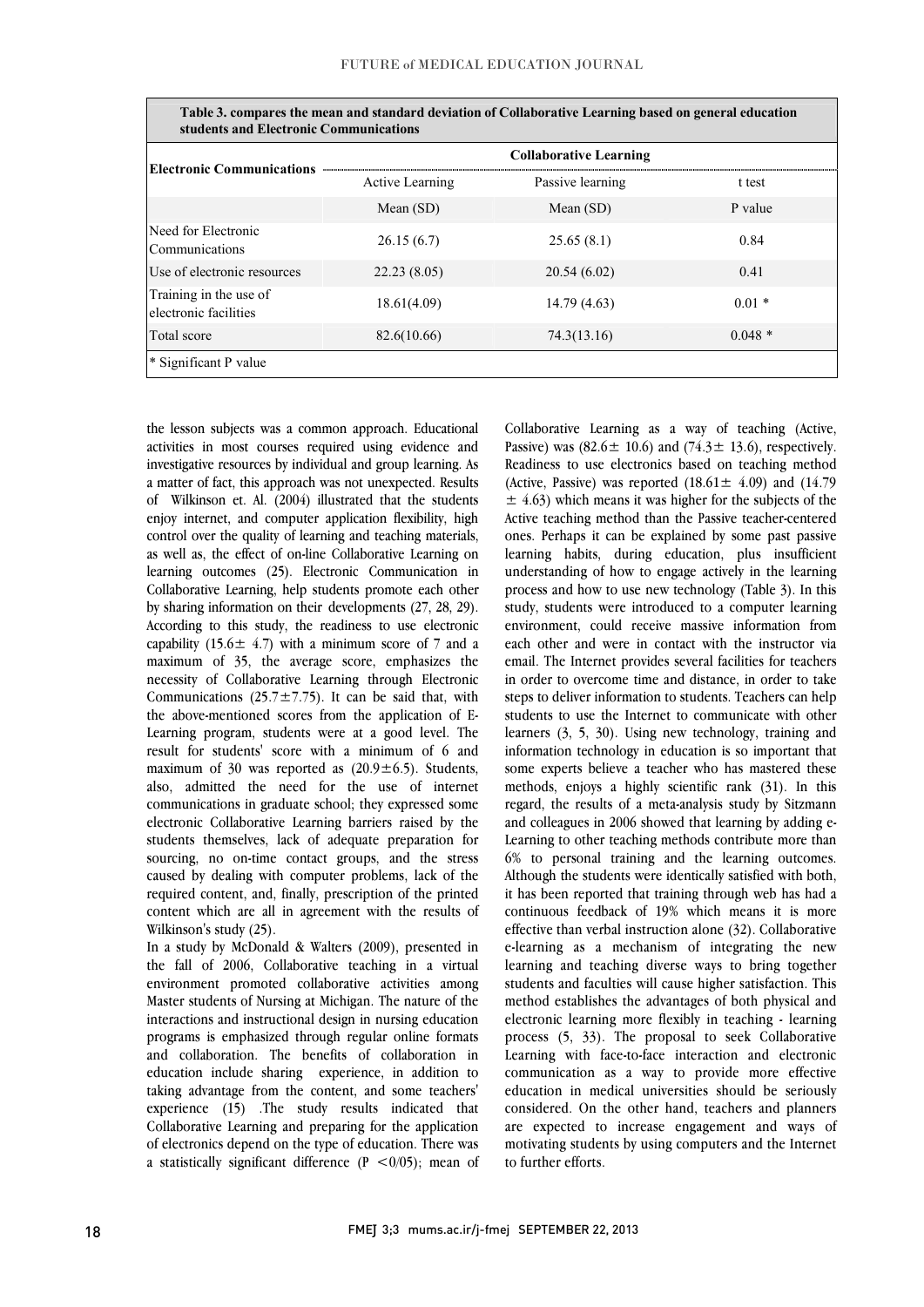| students and Electronic Communications          |                               |                  |          |  |  |
|-------------------------------------------------|-------------------------------|------------------|----------|--|--|
| <b> Electronic Communications</b>               | <b>Collaborative Learning</b> |                  |          |  |  |
|                                                 | <b>Active Learning</b>        | Passive learning | t test   |  |  |
|                                                 | Mean $(SD)$                   | Mean $(SD)$      | P value  |  |  |
| Need for Electronic<br>Communications           | 26.15(6.7)                    | 25.65(8.1)       | 0.84     |  |  |
| Use of electronic resources                     | 22.23(8.05)                   | 20.54(6.02)      | 0.41     |  |  |
| Training in the use of<br>electronic facilities | 18.61(4.09)                   | 14.79 (4.63)     | $0.01*$  |  |  |
| Total score                                     | 82.6(10.66)                   | 74.3(13.16)      | $0.048*$ |  |  |
| <sup>*</sup> Significant P value                |                               |                  |          |  |  |

j **Table 3. compares the mean and standard deviation of Collaborative Learning based on general education** 

the lesson subjects was a common approach. Educational<br>estimities in most sources required using evidence and investigative resources by individual and group learning. As a matter of fact, this approach was not unexpected. Results of Wilkinson et. Al. (2004) illustrated that the students enjoy interict, and computer application healthly, high control over the quality of learning and teaching materials, as well as, the effect of on-line Collaborative Learning on learning outcomes (25). Electronic Communication in Collaborative Learning, help students promote each other  $\Delta y$  sharing information on their developments  $(27, 20, 27)$ .<br>According to this study, the readiness to use electronic capability  $(15.6 \pm 4.7)$  with a minimum score of 7 and a maximum of 35, the average score, emphasizes the necessity of Collaborative Learning through Electronic the above-mentioned scores from the application of E- Learning program, students were at a good level. The result for students' score with a minimum of 6 and maximum of 30 was reported as  $(20.9 \pm 6.5)$ . Students, electronic Collaborative Learning barriers raised by the students themselves, lack of adequate preparation for caused by dealing with computer problems, lack of the required content, and, finally, prescription of the printed content which are all in agreement with the results of Wilkinson's study (25).<br>In a study by McDonald & Walters (2009), presented in activities in most courses required using evidence and enjoy internet, and computer application flexibility, high by sharing information on their developments (27, 28, 29). Communications  $(25.7 \pm 7.75)$ . It can be said that, with also, admitted the need for the use of internet communications in graduate school; they expressed some sourcing, no on-time contact groups, and the stress Wilkinson's study (25).

the fall of 2006, Collaborative teaching in a virtual environment promoted collaborative activities among Master students of Nursing at Michigan. The nature of the interactions and instructional design in nursing education and collaboration. The benefits of collaboration in education include sharing experience, in addition to taking advantage from the content, and some teachers' experience (15) .The study results indicated that<br>Callaborative Lagratics and approximation for the conditions of electronics depend on the type of education. There was a statistically significant difference  $(P < 0/05)$ ; mean of programs is emphasized through regular online formats Collaborative Learning and preparing for the application

Conaborative Learning as a way of teaching (Active,<br>Passive) was  $(82.6 \pm 10.6)$  and  $(74.3 \pm 13.6)$ , respectively. Readiness to use electronics based on teaching method (Active, Passive) was reported  $(18.61 \pm 4.09)$  and  $(14.79)$  $\pm$  4.63) which means it was higher for the subjects of the ones. Perhaps it can be explained by some past passive learning habits, during education, plus insufficient understanding of how to engage actively in the learning process and how to use new technology (Table 3). In this environment, could receive massive information from each other and were in contact with the instructor via email. The Internet provides several facilities for teachers in order to overcome time and distance, in order to take students to use the Internet to communicate with other learners (3, 5, 30). Using new technology, training and information technology in education is so important that some experts believe a teacher who has mastered these regard, the results of a meta-analysis study by Sitzmann and colleagues in 2006 showed that learning by adding e- Learning to other teaching methods contribute more than Although the students were identically satisfied with both, it has been reported that training through web has had a continuous feedback of 19% which means it is more effective than verbal instruction alone (32). Collaborative learning and teaching diverse ways to bring together students and faculties will cause higher satisfaction. This method establishes the advantages of both physical and electronic learning more flexibly in teaching - learning Learning with face-to-face interaction and electronic communication as a way to provide more effective education in medical universities should be seriously considered. On the other hand, teachers and planners motivating students by using computers and the Internet Collaborative Learning as a way of teaching (Active, Active teaching method than the Passive teacher-centered study, students were introduced to a computer learning steps to deliver information to students. Teachers can help methods, enjoys a highly scientific rank (31). In this 6% to personal training and the learning outcomes. e-learning as a mechanism of integrating the new process (5, 33). The proposal to seek Collaborative are expected to increase engagement and ways of to further efforts.

j